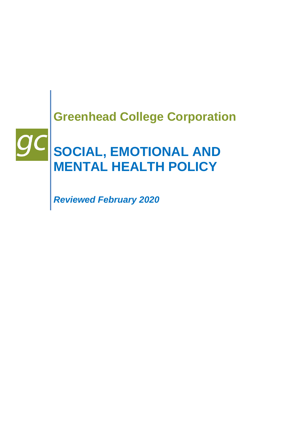# **Greenhead College Corporation**

# **SOCIAL, EMOTIONAL AND MENTAL HEALTH POLICY**

*Reviewed February 2020*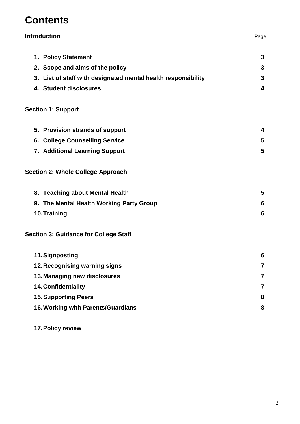# **Contents**

| 1. Policy Statement                                           | 3              |
|---------------------------------------------------------------|----------------|
| 2. Scope and aims of the policy                               | 3              |
| 3. List of staff with designated mental health responsibility | 3              |
| 4. Student disclosures                                        | 4              |
| <b>Section 1: Support</b>                                     |                |
| 5. Provision strands of support                               | 4              |
| 6. College Counselling Service                                | 5              |
| 7. Additional Learning Support                                | 5              |
| <b>Section 2: Whole College Approach</b>                      |                |
| 8. Teaching about Mental Health                               | 5              |
| 9. The Mental Health Working Party Group                      | 6              |
| 10. Training                                                  | 6              |
| <b>Section 3: Guidance for College Staff</b>                  |                |
| 11. Signposting                                               | 6              |
| 12. Recognising warning signs                                 | 7              |
| 13. Managing new disclosures                                  | $\overline{7}$ |
| 14. Confidentiality                                           | 7              |
| <b>15. Supporting Peers</b>                                   | 8              |
| 16. Working with Parents/Guardians                            | 8              |
|                                                               |                |

**Introduction** Page

**17.Policy review**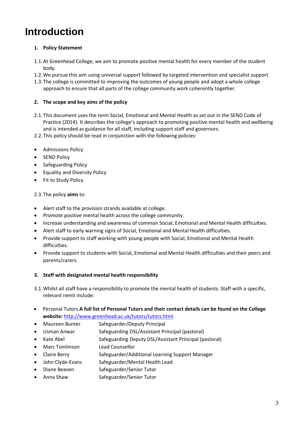# **Introduction**

### **1. Policy Statement**

- 1.1.At Greenhead College, we aim to promote positive mental health for every member of the student body.
- 1.2.We pursue this aim using universal support followed by targeted intervention and specialist support
- 1.3.The college is committed to improving the outcomes of young people and adopt a whole college approach to ensure that all parts of the college community work coherently together.

### **2. The scope and key aims of the policy**

- 2.1.This document uses the term Social, Emotional and Mental Health as set out in the SEND Code of Practice (2014). It describes the college's approach to promoting positive mental health and wellbeing and is intended as guidance for all staff, including support staff and governors.
- 2.2.This policy should be read in conjunction with the following policies:
- Admissions Policy
- SEND Policy
- Safeguarding Policy
- Equality and Diversity Policy
- Fit to Study Policy

2.3.The policy **aims** to:

- Alert staff to the provision strands available at college.
- Promote positive mental health across the college community.
- Increase understanding and awareness of common Social, Emotional and Mental Health difficulties.
- Alert staff to early warning signs of Social, Emotional and Mental Health difficulties.
- Provide support to staff working with young people with Social, Emotional and Mental Health difficulties.
- Provide support to students with Social, Emotional and Mental Health difficulties and their peers and parents/carers.
- **3. Staff with designated mental health responsibility**
- 3.1.Whilst all staff have a responsibility to promote the mental health of students. Staff with a specific, relevant remit include:
- Personal Tutors **A full list of Personal Tutors and their contact details can be found on the College website:** <http://www.greenhead.ac.uk/tutors/tutors.html>
- Maureen Bunter Safeguarder/Deputy Principal
- Usman Anwar Safeguarding DSL/Assistant Principal (pastoral)
- Kate Abel Safeguarding Deputy DSL/Assistant Principal (pastoral)
- Marc Tomlinson Lead Counsellor
- Claire Berry Safeguarder/Additional Learning Support Manager
- John Clyde-Evans Safeguarder/Mental Health Lead
- Diane Beaven Safeguarder/Senior Tutor
- Anna Shaw Safeguarder/Senior Tutor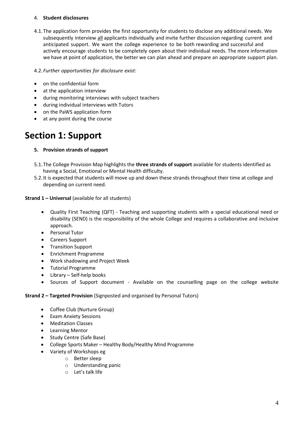### 4. **Student disclosures**

4.1.The application form provides the first opportunity for students to disclose any additional needs. We subsequently interview all applicants individually and invite further discussion regarding current and anticipated support. We want the college experience to be both rewarding and successful and actively encourage students to be completely open about their individual needs. The more information we have at point of application, the better we can plan ahead and prepare an appropriate support plan.

4.2.*Further opportunities for disclosure exist*:

- on the confidential form
- at the application interview
- during monitoring interviews with subject teachers
- during individual interviews with Tutors
- on the PaWS application form
- at any point during the course

# **Section 1: Support**

### **5. Provision strands of support**

- 5.1.The College Provision Map highlights the **three strands of support** available for students identified as having a Social, Emotional or Mental Health difficulty.
- 5.2.It is expected that students will move up and down these strands throughout their time at college and depending on current need.

### **Strand 1 – Universal** (available for all students)

- Quality First Teaching (QFT) Teaching and supporting students with a special educational need or disability (SEND) is the responsibility of the whole College and requires a collaborative and inclusive approach.
- Personal Tutor
- Careers Support
- Transition Support
- Enrichment Programme
- Work shadowing and Project Week
- Tutorial Programme
- Library Self-help books
- Sources of Support document Available on the counselling page on the college website

### **Strand 2 – Targeted Provision** (Signposted and organised by Personal Tutors)

- Coffee Club (Nurture Group)
- Exam Anxiety Sessions
- Meditation Classes
- Learning Mentor
- Study Centre (Safe Base)
- College Sports Maker Healthy Body/Healthy Mind Programme
- Variety of Workshops eg
	- o Better sleep
	- o Understanding panic
	- o Let's talk life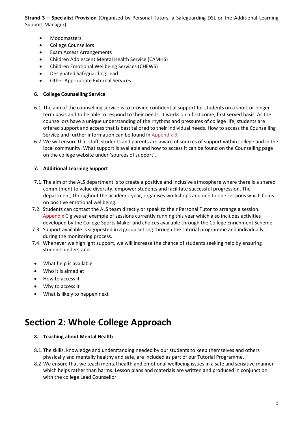**Strand 3 – Specialist Provision** (Organised by Personal Tutors, a Safeguarding DSL or the Additional Learning Support Manager)

- Moodmasters
- College Counsellors
- Exam Access Arrangements
- Children Adolescent Mental Health Service (CAMHS)
- Children Emotional Wellbeing Services (CHEWS)
- Designated Safeguarding Lead
- Other Appropriate External Services

### **6. College Counselling Service**

- 6.1.The aim of the counselling service is to provide confidential support for students on a short or longer term basis and to be able to respond to their needs. It works on a first come, first served basis. As the counsellors have a unique understanding of the rhythms and pressures of college life, students are offered support and access that is best tailored to their individual needs. How to access the Counselling Service and further information can be found in Appendix B.
- 6.2.We will ensure that staff, students and parents are aware of sources of support within college and in the local community. What support is available and how to access it can be found on the Counselling page on the college website under 'sources of support'.

### **7. Additional Learning Support**

- 7.1.The aim of the ALS department is to create a positive and inclusive atmosphere where there is a shared commitment to value diversity, empower students and facilitate successful progression. The department, throughout the academic year, organises workshops and one to one sessions which focus on positive emotional wellbeing.
- 7.2. Students can contact the ALS team directly or speak to their Personal Tutor to arrange a session. Appendix C gives an example of sessions currently running this year which also includes activities developed by the College Sports Maker and choices available through the College Enrichment Scheme.
- 7.3. Support available is signposted in a group setting through the tutorial programme and individually during the monitoring process.
- 7.4. Whenever we highlight support, we will increase the chance of students seeking help by ensuring students understand:
- What help is available
- Who it is aimed at
- How to access it
- Why to access it
- What is likely to happen next

# **Section 2: Whole College Approach**

### **8. Teaching about Mental Health**

- 8.1.The skills, knowledge and understanding needed by our students to keep themselves and others physically and mentally healthy and safe, are included as part of our Tutorial Programme.
- 8.2.We ensure that we teach mental health and emotional wellbeing issues in a safe and sensitive manner which helps rather than harms. Lesson plans and materials are written and produced in conjunction with the college Lead Counsellor.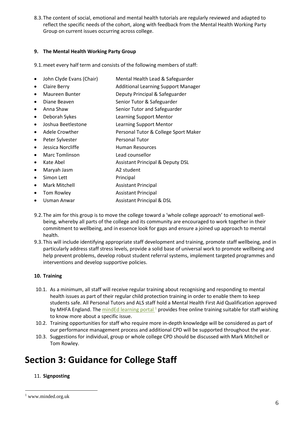8.3.The content of social, emotional and mental health tutorials are regularly reviewed and adapted to reflect the specific needs of the cohort, along with feedback from the Mental Health Working Party Group on current issues occurring across college.

### **9. The Mental Health Working Party Group**

9.1.meet every half term and consists of the following members of staff:

- John Clyde Evans (Chair) Mental Health Lead & Safeguarder
- Claire Berry **Additional Learning Support Manager**
- Maureen Bunter Deputy Principal & Safeguarder
- Diane Beaven Senior Tutor & Safeguarder
- Anna Shaw Senior Tutor and Safeguarder
- Deborah Sykes Learning Support Mentor
- Joshua Beetlestone Learning Support Mentor
- Adele Crowther Personal Tutor & College Sport Maker
- Peter Sylvester Personal Tutor
- Jessica Norcliffe **Human Resources**
- Marc Tomlinson Lead counsellor
- Kate Abel **Assistant Principal & Deputy DSL**
- Maryah Jasm A2 student
- Simon Lett Principal
- Mark Mitchell **Assistant Principal**
- Tom Rowley **Assistant Principal**
- Usman Anwar Assistant Principal & DSL
- 9.2.The aim for this group is to move the college toward a 'whole college approach' to emotional wellbeing, whereby all parts of the college and its community are encouraged to work together in their commitment to wellbeing, and in essence look for gaps and ensure a joined up approach to mental health.
- 9.3.This will include identifying appropriate staff development and training, promote staff wellbeing, and in particularly address staff stress levels, provide a solid base of universal work to promote wellbeing and help prevent problems, develop robust student referral systems, implement targeted programmes and interventions and develop supportive policies.

### **10. Training**

- 10.1. As a minimum, all staff will receive regular training about recognising and responding to mental health issues as part of their regular child protection training in order to enable them to keep students safe. All Personal Tutors and ALS staff hold a Mental Health First Aid Qualification approved by MHFA England. The mindEd learning portal<sup>1</sup> provides free online training suitable for staff wishing to know more about a specific issue.
- 10.2. Training opportunities for staff who require more in-depth knowledge will be considered as part of our performance management process and additional CPD will be supported throughout the year.
- 10.3. Suggestions for individual, group or whole college CPD should be discussed with Mark Mitchell or Tom Rowley.

# **Section 3: Guidance for College Staff**

### 11. **Signposting**

 $\overline{a}$ 

<sup>1</sup> www.minded.org.uk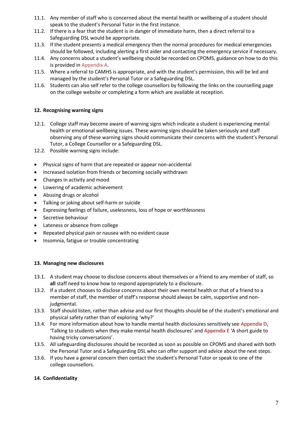- 11.1. Any member of staff who is concerned about the mental health or wellbeing of a student should speak to the student's Personal Tutor in the first instance.
- 11.2. If there is a fear that the student is in danger of immediate harm, then a direct referral to a Safeguarding DSL would be appropriate.
- 11.3. If the student presents a medical emergency then the normal procedures for medical emergencies should be followed, including alerting a first aider and contacting the emergency service if necessary.
- 11.4. Any concerns about a student's wellbeing should be recorded on CPOMS, guidance on how to do this is provided in Appendix A.
- 11.5. Where a referral to CAMHS is appropriate, and with the student's permission, this will be led and managed by the student's Personal Tutor or a Safeguarding DSL.
- 11.6. Students can also self refer to the college counsellors by following the links on the counselling page on the college website or completing a form which are available at reception.

### **12. Recognising warning signs**

- 12.1. College staff may become aware of warning signs which indicate a student is experiencing mental health or emotional wellbeing issues. These warning signs should be taken seriously and staff observing any of these warning signs should communicate their concerns with the student's Personal Tutor, a College Counsellor or a Safeguarding DSL.
- 12.2. Possible warning signs include:
- Physical signs of harm that are repeated or appear non-accidental
- Increased isolation from friends or becoming socially withdrawn
- Changes in activity and mood
- Lowering of academic achievement
- Abusing drugs or alcohol
- Talking or joking about self-harm or suicide
- Expressing feelings of failure, uselessness, loss of hope or worthlessness
- Secretive behaviour
- Lateness or absence from college
- Repeated physical pain or nausea with no evident cause
- Insomnia, fatigue or trouble concentrating

### **13. Managing new disclosures**

- 13.1. A student may choose to disclose concerns about themselves or a friend to any member of staff, so **all** staff need to know how to respond appropriately to a disclosure.
- 13.2. If a student chooses to disclose concerns about their own mental health or that of a friend to a member of staff, the member of staff's response should always be calm, supportive and nonjudgmental.
- 13.3. Staff should listen, rather than advise and our first thoughts should be of the student's emotional and physical safety rather than of exploring 'why?'
- 13.4. For more information about how to handle mental health disclosures sensitively see Appendix D, 'Talking to students when they make mental health disclosures' and Appendix E 'A short guide to having tricky conversations'.
- 13.5. All safeguarding disclosures should be recorded as soon as possible on CPOMS and shared with both the Personal Tutor and a Safeguarding DSL who can offer support and advice about the next steps.
- 13.6. If you have a general concern then contact the student's Personal Tutor or speak to one of the college counsellors.

### **14. Confidentiality**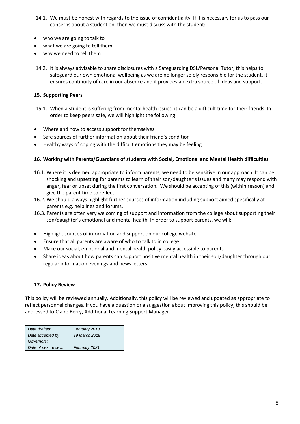- 14.1. We must be honest with regards to the issue of confidentiality. If it is necessary for us to pass our concerns about a student on, then we must discuss with the student:
- who we are going to talk to
- what we are going to tell them
- why we need to tell them
- 14.2. It is always advisable to share disclosures with a Safeguarding DSL/Personal Tutor, this helps to safeguard our own emotional wellbeing as we are no longer solely responsible for the student, it ensures continuity of care in our absence and it provides an extra source of ideas and support.

### **15. Supporting Peers**

- 15.1. When a student is suffering from mental health issues, it can be a difficult time for their friends. In order to keep peers safe, we will highlight the following:
- Where and how to access support for themselves
- Safe sources of further information about their friend's condition
- Healthy ways of coping with the difficult emotions they may be feeling

### **16. Working with Parents/Guardians of students with Social, Emotional and Mental Health difficulties**

- 16.1. Where it is deemed appropriate to inform parents, we need to be sensitive in our approach. It can be shocking and upsetting for parents to learn of their son/daughter's issues and many may respond with anger, fear or upset during the first conversation. We should be accepting of this (within reason) and give the parent time to reflect.
- 16.2. We should always highlight further sources of information including support aimed specifically at parents e.g. helplines and forums.
- 16.3. Parents are often very welcoming of support and information from the college about supporting their son/daughter's emotional and mental health. In order to support parents, we will:
- Highlight sources of information and support on our college website
- Ensure that all parents are aware of who to talk to in college
- Make our social, emotional and mental health policy easily accessible to parents
- Share ideas about how parents can support positive mental health in their son/daughter through our regular information evenings and news letters

### **17. Policy Review**

This policy will be reviewed annually. Additionally, this policy will be reviewed and updated as appropriate to reflect personnel changes. If you have a question or a suggestion about improving this policy, this should be addressed to Claire Berry, Additional Learning Support Manager.

| Date drafted:        | February 2018 |
|----------------------|---------------|
| Date accepted by     | 19 March 2018 |
| Governors:           |               |
| Date of next review: | February 2021 |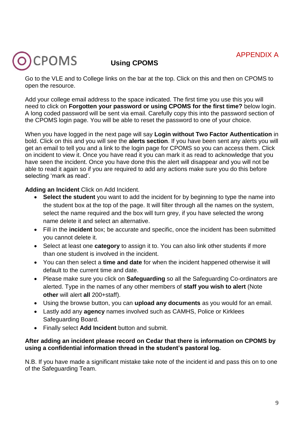# APPENDIX A

# CPOMS

# **Using CPOMS**

Go to the VLE and to College links on the bar at the top. Click on this and then on CPOMS to open the resource.

Add your college email address to the space indicated. The first time you use this you will need to click on **Forgotten your password or using CPOMS for the first time?** below login. A long coded password will be sent via email. Carefully copy this into the password section of the CPOMS login page. You will be able to reset the password to one of your choice.

When you have logged in the next page will say **Login without Two Factor Authentication** in bold. Click on this and you will see the **alerts section**. If you have been sent any alerts you will get an email to tell you and a link to the login page for CPOMS so you can access them. Click on incident to view it. Once you have read it you can mark it as read to acknowledge that you have seen the incident. Once you have done this the alert will disappear and you will not be able to read it again so if you are required to add any actions make sure you do this before selecting 'mark as read'.

### **Adding an Incident** Click on Add Incident.

- **Select the student** you want to add the incident for by beginning to type the name into the student box at the top of the page. It will filter through all the names on the system, select the name required and the box will turn grey, if you have selected the wrong name delete it and select an alternative.
- Fill in the **incident** box; be accurate and specific, once the incident has been submitted you cannot delete it.
- Select at least one **category** to assign it to. You can also link other students if more than one student is involved in the incident.
- You can then select a **time and date** for when the incident happened otherwise it will default to the current time and date.
- Please make sure you click on **Safeguarding** so all the Safeguarding Co-ordinators are alerted. Type in the names of any other members of **staff you wish to alert** (Note **other** will alert **all** 200+staff).
- Using the browse button, you can **upload any documents** as you would for an email.
- Lastly add any **agency** names involved such as CAMHS, Police or Kirklees Safeguarding Board.
- Finally select **Add Incident** button and submit.

### **After adding an incident please record on Cedar that there is information on CPOMS by using a confidential information thread in the student's pastoral log.**

N.B. If you have made a significant mistake take note of the incident id and pass this on to one of the Safeguarding Team.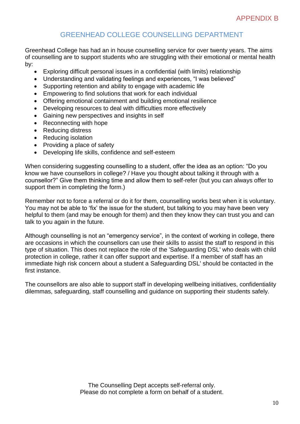# GREENHEAD COLLEGE COUNSELLING DEPARTMENT

Greenhead College has had an in house counselling service for over twenty years. The aims of counselling are to support students who are struggling with their emotional or mental health by:

- Exploring difficult personal issues in a confidential (with limits) relationship
- Understanding and validating feelings and experiences, "I was believed"
- Supporting retention and ability to engage with academic life
- Empowering to find solutions that work for each individual
- Offering emotional containment and building emotional resilience
- Developing resources to deal with difficulties more effectively
- Gaining new perspectives and insights in self
- Reconnecting with hope
- Reducing distress
- Reducing isolation
- Providing a place of safety
- Developing life skills, confidence and self-esteem

When considering suggesting counselling to a student, offer the idea as an option: "Do you know we have counsellors in college? / Have you thought about talking it through with a counsellor?" Give them thinking time and allow them to self-refer (but you can always offer to support them in completing the form.)

Remember not to force a referral or do it for them, counselling works best when it is voluntary. You may not be able to 'fix' the issue for the student, but talking to you may have been very helpful to them (and may be enough for them) and then they know they can trust you and can talk to you again in the future.

Although counselling is not an "emergency service", in the context of working in college, there are occasions in which the counsellors can use their skills to assist the staff to respond in this type of situation. This does not replace the role of the 'Safeguarding DSL' who deals with child protection in college, rather it can offer support and expertise. If a member of staff has an immediate high risk concern about a student a Safeguarding DSL' should be contacted in the first instance.

The counsellors are also able to support staff in developing wellbeing initiatives, confidentiality dilemmas, safeguarding, staff counselling and guidance on supporting their students safely.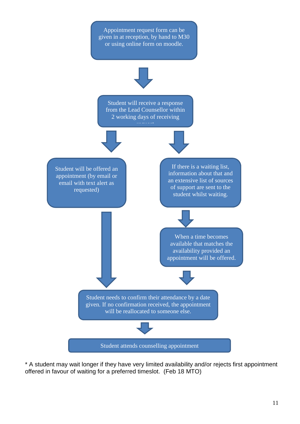

\* A student may wait longer if they have very limited availability and/or rejects first appointment offered in favour of waiting for a preferred timeslot. (Feb 18 MTO)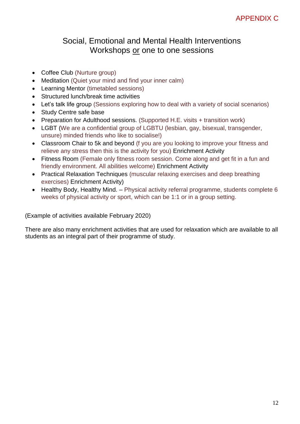# Social, Emotional and Mental Health Interventions Workshops or one to one sessions

- Coffee Club (Nurture group)
- Meditation (Quiet your mind and find your inner calm)
- Learning Mentor (timetabled sessions)
- Structured lunch/break time activities
- Let's talk life group (Sessions exploring how to deal with a variety of social scenarios)
- Study Centre safe base
- Preparation for Adulthood sessions. (Supported H.E. visits + transition work)
- LGBT (We are a confidential group of LGBTU (lesbian, gay, bisexual, transgender, unsure) minded friends who like to socialise!)
- Classroom Chair to 5k and beyond (f you are you looking to improve your fitness and relieve any stress then this is the activity for you) Enrichment Activity
- Fitness Room (Female only fitness room session. Come along and get fit in a fun and friendly environment. All abilities welcome) Enrichment Activity
- Practical Relaxation Techniques (muscular relaxing exercises and deep breathing exercises) Enrichment Activity)
- Healthy Body, Healthy Mind. Physical activity referral programme, students complete 6 weeks of physical activity or sport, which can be 1:1 or in a group setting.

(Example of activities available February 2020)

There are also many enrichment activities that are used for relaxation which are available to all students as an integral part of their programme of study.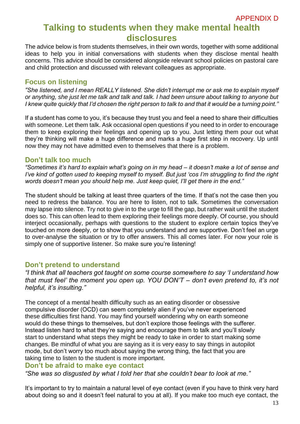# APPENDIX D **Talking to students when they make mental health disclosures**

The advice below is from students themselves, in their own words, together with some additional ideas to help you in initial conversations with students when they disclose mental health concerns. This advice should be considered alongside relevant school policies on pastoral care and child protection and discussed with relevant colleagues as appropriate.

### **Focus on listening**

*"She listened, and I mean REALLY listened. She didn't interrupt me or ask me to explain myself or anything, she just let me talk and talk and talk. I had been unsure about talking to anyone but I knew quite quickly that I'd chosen the right person to talk to and that it would be a turning point."* 

If a student has come to you, it's because they trust you and feel a need to share their difficulties with someone. Let them talk. Ask occasional open questions if you need to in order to encourage them to keep exploring their feelings and opening up to you. Just letting them pour out what they're thinking will make a huge difference and marks a huge first step in recovery. Up until now they may not have admitted even to themselves that there is a problem.

### **Don't talk too much**

*"Sometimes it's hard to explain what's going on in my head – it doesn't make a lot of sense and I've kind of gotten used to keeping myself to myself. But just 'cos I'm struggling to find the right words doesn't mean you should help me. Just keep quiet, I'll get there in the end."* 

The student should be talking at least three quarters of the time. If that's not the case then you need to redress the balance. You are here to listen, not to talk. Sometimes the conversation may lapse into silence. Try not to give in to the urge to fill the gap, but rather wait until the student does so. This can often lead to them exploring their feelings more deeply. Of course, you should interject occasionally, perhaps with questions to the student to explore certain topics they've touched on more deeply, or to show that you understand and are supportive. Don't feel an urge to over-analyse the situation or try to offer answers. This all comes later. For now your role is simply one of supportive listener. So make sure you're listening!

### **Don't pretend to understand**

*"I think that all teachers got taught on some course somewhere to say 'I understand how that must feel' the moment you open up. YOU DON'T – don't even pretend to, it's not helpful, it's insulting."* 

The concept of a mental health difficulty such as an eating disorder or obsessive compulsive disorder (OCD) can seem completely alien if you've never experienced these difficulties first hand. You may find yourself wondering why on earth someone would do these things to themselves, but don't explore those feelings with the sufferer. Instead listen hard to what they're saying and encourage them to talk and you'll slowly start to understand what steps they might be ready to take in order to start making some changes. Be mindful of what you are saying as it is very easy to say things in autopilot mode, but don't worry too much about saying the wrong thing, the fact that you are taking time to listen to the student is more important.

### **Don't be afraid to make eye contact**

*"She was so disgusted by what I told her that she couldn't bear to look at me."* 

It's important to try to maintain a natural level of eye contact (even if you have to think very hard about doing so and it doesn't feel natural to you at all). If you make too much eye contact, the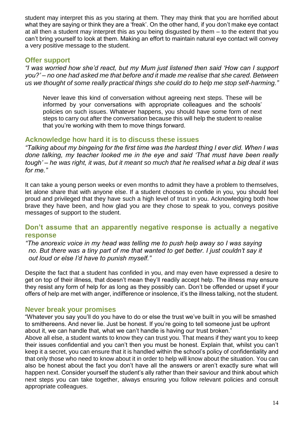student may interpret this as you staring at them. They may think that you are horrified about what they are saying or think they are a 'freak'. On the other hand, if you don't make eye contact at all then a student may interpret this as you being disgusted by them – to the extent that you can't bring yourself to look at them. Making an effort to maintain natural eye contact will convey a very positive message to the student.

### **Offer support**

*"I was worried how she'd react, but my Mum just listened then said 'How can I support you?' – no one had asked me that before and it made me realise that she cared. Between us we thought of some really practical things she could do to help me stop self-harming."* 

Never leave this kind of conversation without agreeing next steps. These will be informed by your conversations with appropriate colleagues and the schools' policies on such issues. Whatever happens, you should have some form of next steps to carry out after the conversation because this will help the student to realise that you're working with them to move things forward.

### **Acknowledge how hard it is to discuss these issues**

*"Talking about my bingeing for the first time was the hardest thing I ever did. When I was done talking, my teacher looked me in the eye and said 'That must have been really tough' – he was right, it was, but it meant so much that he realised what a big deal it was for me."* 

It can take a young person weeks or even months to admit they have a problem to themselves, let alone share that with anyone else. If a student chooses to confide in you, you should feel proud and privileged that they have such a high level of trust in you. Acknowledging both how brave they have been, and how glad you are they chose to speak to you, conveys positive messages of support to the student.

## **Don't assume that an apparently negative response is actually a negative response**

 *"The anorexic voice in my head was telling me to push help away so I was saying no. But there was a tiny part of me that wanted to get better. I just couldn't say it out loud or else I'd have to punish myself."* 

Despite the fact that a student has confided in you, and may even have expressed a desire to get on top of their illness, that doesn't mean they'll readily accept help. The illness may ensure they resist any form of help for as long as they possibly can. Don't be offended or upset if your offers of help are met with anger, indifference or insolence, it's the illness talking, not the student.

### **Never break your promises**

"Whatever you say you'll do you have to do or else the trust we've built in you will be smashed to smithereens. And never lie. Just be honest. If you're going to tell someone just be upfront about it, we can handle that, what we can't handle is having our trust broken."

Above all else, a student wants to know they can trust you. That means if they want you to keep their issues confidential and you can't then you must be honest. Explain that, whilst you can't keep it a secret, you can ensure that it is handled within the school's policy of confidentiality and that only those who need to know about it in order to help will know about the situation. You can also be honest about the fact you don't have all the answers or aren't exactly sure what will happen next. Consider yourself the student's ally rather than their saviour and think about which next steps you can take together, always ensuring you follow relevant policies and consult appropriate colleagues.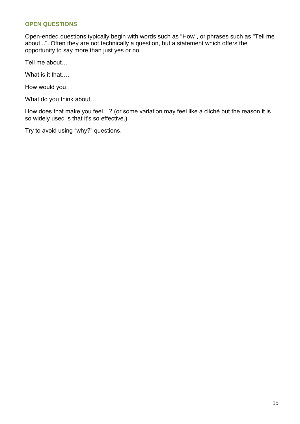### **OPEN QUESTIONS**

Open-ended questions typically begin with words such as "How", or phrases such as "Tell me about...". Often they are not technically a question, but a statement which offers the opportunity to say more than just yes or no

Tell me about…

What is it that....

How would you…

What do you think about…

How does that make you feel…? (or some variation may feel like a cliché but the reason it is so widely used is that it's so effective.)

Try to avoid using "why?" questions.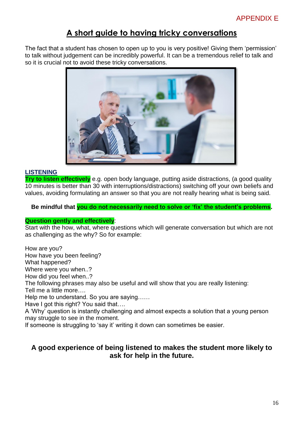# **A short guide to having tricky conversations**

The fact that a student has chosen to open up to you is very positive! Giving them 'permission' to talk without judgement can be incredibly powerful. It can be a tremendous relief to talk and so it is crucial not to avoid these tricky conversations.



### **LISTENING**

**Try to listen effectively** e.g. open body language, putting aside distractions, (a good quality 10 minutes is better than 30 with interruptions/distractions) switching off your own beliefs and values, avoiding formulating an answer so that you are not really hearing what is being said.

**Be mindful that you do not necessarily need to solve or 'fix' the student's problems.**

### **Question gently and effectively**:

Start with the how, what, where questions which will generate conversation but which are not as challenging as the why? So for example:

How are you?

How have you been feeling?

What happened?

Where were you when..?

How did you feel when..?

The following phrases may also be useful and will show that you are really listening: Tell me a little more….

Help me to understand. So you are saying……

Have I got this right? You said that….

A 'Why' question is instantly challenging and almost expects a solution that a young person may struggle to see in the moment.

If someone is struggling to 'say it' writing it down can sometimes be easier.

## **A good experience of being listened to makes the student more likely to ask for help in the future.**